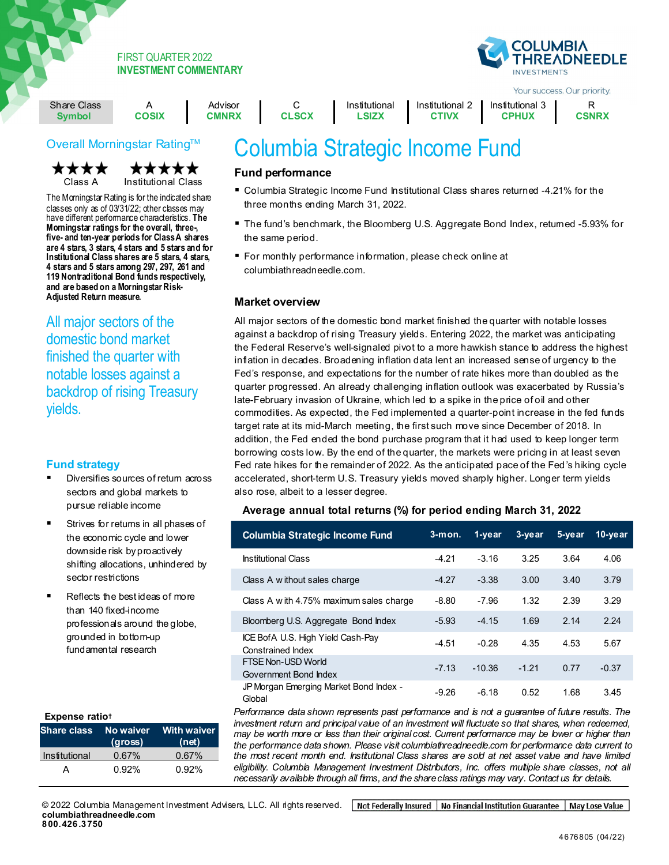#### FIRST QUARTER 2022 **INVESTMENT COMMENTARY**



Your success. Our priority.

| Share Class |       | Advisor      |              | Institutional | Institutional 2 | Institutional 3 |              |
|-------------|-------|--------------|--------------|---------------|-----------------|-----------------|--------------|
| Svmbol      | COSIX | <b>CMNRX</b> | <b>CLSCX</b> | _SIZX         | CTIVX           | CPHUX           | <b>CSNRX</b> |
|             |       |              |              |               |                 |                 |              |

# Overall Morningstar Rating™

# Class A Institutional Class

classes only as of 03/31/22; other classes may<br>have different performance characteristics. The worningstar raungs for the overall, three-,<br>five- and ten-year periods for Class A shares **small- and mid-cap stocks** that **are 4 stars, 3 stars, 4 stars and 5 stars and for Institutional Class shares are 5 stars, 4 stars,** growth potential **119 Nontraditional Bond funds respectively,**  ▪ **> Adheres to a time-tested and are based on a Morningstar Risk-**The Morningstar Rating is for the indicated share have different performance characteristics. **The Morningstar ratings for the overall, three-, 4 stars and 5 stars among 297, 297, 261 and Adjusted Return measure.**

All major sectors of the domestic bond market **Constitution** by an experienced for the constitution of the constitution of the constitution of the constitution of finished the quarter with notable losses against a backdrop of rising Treasury yields.

## **Fund strategy**

- Diversifies sources of return across sectors and global markets to pursue reliable income
- Strives for returns in all phases of the economic cycle and lower down side risk by proactively shifting allocations, unhindered by sector restrictions
- Reflects the best ideas of more than 140 fixed-income professionals around the globe, grounded in bottom-up fundamental research

## ▪ **Expense ratio<sup>2</sup> Expense ratio†**

|               | (gross)  | Share class No waiver With waiver<br>(net) |
|---------------|----------|--------------------------------------------|
| Institutional | 0.67%    | 0.67%                                      |
| Δ             | $0.92\%$ | $0.92\%$                                   |

# **Fund performance**

- Columbia Strategic Income Fund Institutional Class shares returned -4.21% for the three months ending March 31, 2022.
- The fund's benchmark, the Bloomberg U.S. Aggregate Bond Index, returned -5.93% for the same period.
- For monthly performance information, please check online at columbiathreadneedle.com.

Columbia Strategic Income Fund

### **Market overview**

All major sectors of the domestic bond market finished the quarter with notable losses against a backdrop of rising Treasury yields. Entering 2022, the market was anticipating the Federal Reserve's well-signaled pivot to a more hawkish stance to address the highest inflation in decades. Broadening inflation data lent an increased sense of urgency to the Fed's response, and expectations for the number of rate hikes more than doubled as the quarter progressed. An already challenging inflation outlook was exacerbated by Russia's late-February invasion of Ukraine, which led to a spike in the price of oil and other commodities. As expected, the Fed implemented a quarter-point increase in the fed funds target rate at its mid-March meeting, the first such move since December of 2018. In addition, the Fed ended the bond purchase program that it had used to keep longer term borrowing costs low. By the end of the quarter, the markets were pricing in at least seven Fed rate hikes for the remainder of 2022. As the anticipated pace of the Fed's hiking cycle accelerated, short-term U.S. Treasury yields moved sharply higher. Longer term yields also rose, albeit to a lesser degree.

#### **Average annual total returns (%) for period ending March 31, 2022**

| <b>Columbia Strategic Income Fund</b>                   | $3 - m$ on $\overline{a}$ | 1-year   | $3$ -year | 5-year | 10-year |
|---------------------------------------------------------|---------------------------|----------|-----------|--------|---------|
| <b>Institutional Class</b>                              | $-4.21$                   | $-3.16$  | 3.25      | 3.64   | 4.06    |
| Class A w ithout sales charge                           | $-4.27$                   | $-3.38$  | 3.00      | 3.40   | 3.79    |
| Class A with 4.75% maximum sales charge                 | -8.80                     | $-7.96$  | 1.32      | 2.39   | 3.29    |
| Bloomberg U.S. Aggregate Bond Index                     | $-5.93$                   | $-4.15$  | 1.69      | 2.14   | 2.24    |
| ICE Bof A U.S. High Yield Cash-Pay<br>Constrained Index | $-4.51$                   | $-0.28$  | 4.35      | 4.53   | 5.67    |
| FTSF Non-USD World<br>Government Bond Index             | $-7.13$                   | $-10.36$ | $-1.21$   | 0.77   | $-0.37$ |
| JP Morgan Emerging Market Bond Index -<br>Global        | -9.26                     | $-6.18$  | 0.52      | 1.68   | 3.45    |

*Performance data shown represents past performance and is not a guarantee of future results. The investment return and principal value of an investment will fluctuate so that shares, when redeemed, may be worth more or less than their original cost. Current performance may be lower or higher than the performance data shown. Please visit columbiathreadneedle.com for performance data current to the most recent month end. Institutional Class shares are sold at net asset value and have limited eligibility. Columbia Management Investment Distributors, Inc. offers multiple share classes, not all necessarily available through all firms, and the share class ratings may vary. Contact us for details.*

© 2022 Columbia Management Investment Advisers, LLC. All rights reserved. Not Federally Insured No Financial Institution Guarantee Nay Lose Value **columbiathreadneedle.com 8 00.426 .3 750**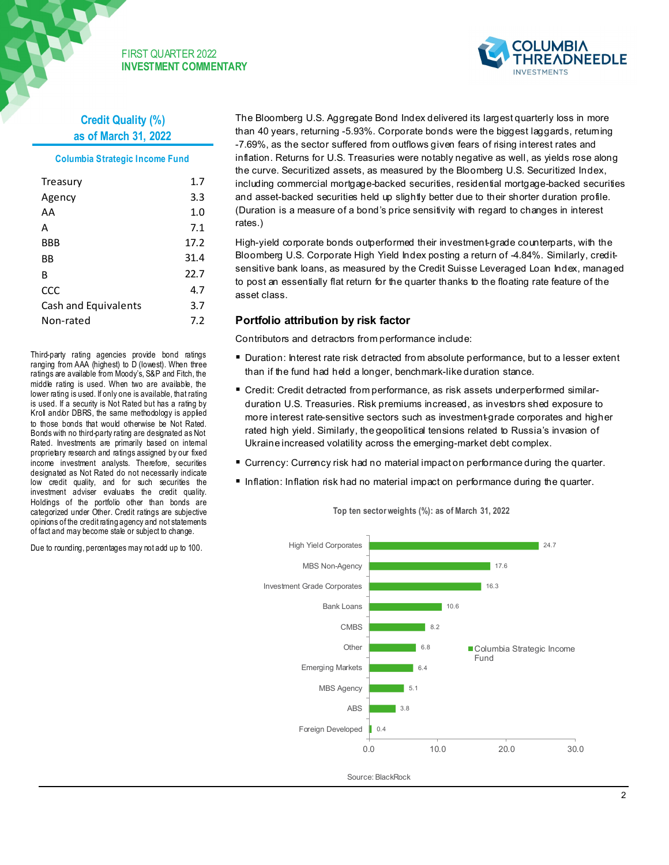

## **Credit Quality (%) as of March 31, 2022**

#### **Columbia Strategic Income Fund**

| Treasury             | 1.7  |
|----------------------|------|
| Agency               | 3.3  |
| AA                   | 1.0  |
| A                    | 7.1  |
| <b>BBB</b>           | 17.2 |
| ВB                   | 31.4 |
| в                    | 22.7 |
| CCC                  | 4.7  |
| Cash and Equivalents | 3.7  |
| Non-rated            | 7.2  |

Third-party rating agencies provide bond ratings ranging from AAA (highest) to D (lowest). When three ratings are available from Moody's, S&P and Fitch, the middle rating is used. When two are available, the lower rating is used. If only one is available, that rating is used. If a security is Not Rated but has a rating by Kroll and/or DBRS, the same methodology is applied to those bonds that would otherwise be Not Rated. Bonds with no third-party rating are designated as Not Rated. Investments are primarily based on internal proprietary research and ratings assigned by our fixed income investment analysts. Therefore, securities designated as Not Rated do not necessarily indicate low credit quality, and for such securities the investment adviser evaluates the credit quality. Holdings of the portfolio other than bonds are categorized under Other. Credit ratings are subjective opinions of the credit rating agency and not statements of fact and may become stale or subject to change.

Due to rounding, percentages may not add up to 100.

The Bloomberg U.S. Aggregate Bond Index delivered its largest quarterly loss in more than 40 years, returning -5.93%. Corporate bonds were the biggest laggards, returning -7.69%, as the sector suffered from outflows given fears of rising interest rates and inflation. Returns for U.S. Treasuries were notably negative as well, as yields rose along the curve. Securitized assets, as measured by the Bloomberg U.S. Securitized Index, including commercial mortgage-backed securities, residential mortgage-backed securities and asset-backed securities held up slightly better due to their shorter duration profile. (Duration is a measure of a bond's price sensitivity with regard to changes in interest rates.)

High-yield corporate bonds outperformed their investment-grade counterparts, with the Bloomberg U.S. Corporate High Yield Index posting a return of 4.84%. Similarly, creditsensitive bank loans, as measured by the Credit Suisse Leveraged Loan Index, managed to post an essentially flat return for the quarter thanks to the floating rate feature of the asset class.

#### **Portfolio attribution by risk factor**

Contributors and detractors from performance include:

- Duration: Interest rate risk detracted from absolute performance, but to a lesser extent than if the fund had held a longer, benchmark-like duration stance.
- Credit: Credit detracted from performance, as risk assets underperformed similarduration U.S. Treasuries. Risk premiums increased, as investors shed exposure to more interest rate-sensitive sectors such as investment-grade corporates and higher rated high yield. Similarly, the geopolitical tensions related to Russia's invasion of Ukraine increased volatility across the emerging-market debt complex.
- Currency: Currency risk had no material impact on performance during the quarter.
- Inflation: Inflation risk had no material impact on performance during the quarter.



**Top ten sector weights (%): as of March 31, 2022**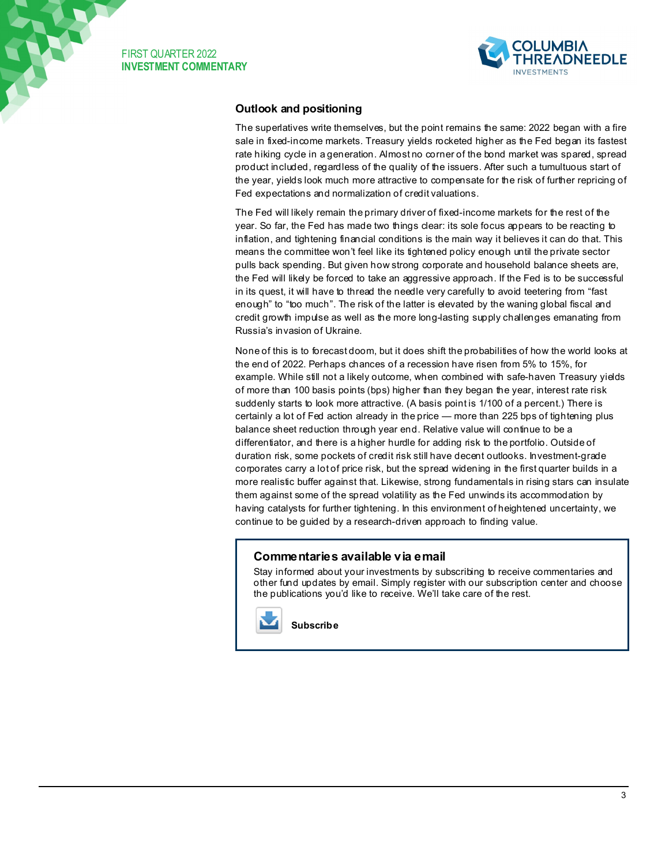



#### **Outlook and positioning**

The superlatives write themselves, but the point remains the same: 2022 began with a fire sale in fixed-income markets. Treasury yields rocketed higher as the Fed began its fastest rate hiking cycle in a generation. Almost no corner of the bond market was spared, spread product included, regardless of the quality of the issuers. After such a tumultuous start of the year, yields look much more attractive to compensate for the risk of further repricing of Fed expectations and normalization of credit valuations.

The Fed will likely remain the primary driver of fixed-income markets for the rest of the year. So far, the Fed has made two things clear: its sole focus appears to be reacting to inflation, and tightening financial conditions is the main way it believes it can do that. This means the committee won't feel like its tightened policy enough until the private sector pulls back spending. But given how strong corporate and household balance sheets are, the Fed will likely be forced to take an aggressive approach. If the Fed is to be successful in its quest, it will have to thread the needle very carefully to avoid teetering from "fast enough" to "too much". The risk of the latter is elevated by the waning global fiscal and credit growth impulse as well as the more long-lasting supply challenges emanating from Russia's invasion of Ukraine.

None of this is to forecast doom, but it does shift the probabilities of how the world looks at the end of 2022. Perhaps chances of a recession have risen from 5% to 15%, for example. While still not a likely outcome, when combined with safe-haven Treasury yields of more than 100 basis points (bps) higher than they began the year, interest rate risk suddenly starts to look more attractive. (A basis point is 1/100 of a percent.) There is certainly a lot of Fed action already in the price — more than 225 bps of tightening plus balance sheet reduction through year end. Relative value will continue to be a differentiator, and there is a higher hurdle for adding risk to the portfolio. Outside of duration risk, some pockets of credit risk still have decent outlooks. Investment-grade corporates carry a lot of price risk, but the spread widening in the first quarter builds in a more realistic buffer against that. Likewise, strong fundamentals in rising stars can insulate them against some of the spread volatility as the Fed unwinds its accommodation by having catalysts for further tightening. In this environment of heightened uncertainty, we continue to be guided by a research-driven approach to finding value.

## **Commentaries available via email**

Stay informed about your investments by subscribing to receive commentaries and other fund updates by email. Simply register with our subscription center and choose the publications you'd like to receive. We'll take care of the rest.



**Subscribe**